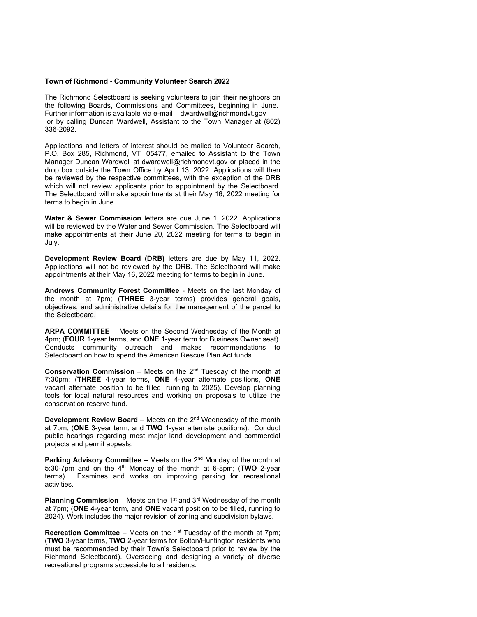## Town of Richmond - Community Volunteer Search 2022

The Richmond Selectboard is seeking volunteers to join their neighbors on the following Boards, Commissions and Committees, beginning in June. Further information is available via e-mail – dwardwell@richmondvt.gov or by calling Duncan Wardwell, Assistant to the Town Manager at (802) 336-2092.

Applications and letters of interest should be mailed to Volunteer Search, P.O. Box 285, Richmond, VT 05477, emailed to Assistant to the Town Manager Duncan Wardwell at dwardwell@richmondvt.gov or placed in the drop box outside the Town Office by April 13, 2022. Applications will then be reviewed by the respective committees, with the exception of the DRB which will not review applicants prior to appointment by the Selectboard. The Selectboard will make appointments at their May 16, 2022 meeting for terms to begin in June.

Water & Sewer Commission letters are due June 1, 2022. Applications will be reviewed by the Water and Sewer Commission. The Selectboard will make appointments at their June 20, 2022 meeting for terms to begin in July.

Development Review Board (DRB) letters are due by May 11, 2022. Applications will not be reviewed by the DRB. The Selectboard will make appointments at their May 16, 2022 meeting for terms to begin in June.

Andrews Community Forest Committee - Meets on the last Monday of the month at 7pm; (THREE 3-year terms) provides general goals, objectives, and administrative details for the management of the parcel to the Selectboard.

ARPA COMMITTEE – Meets on the Second Wednesday of the Month at 4pm; (FOUR 1-year terms, and ONE 1-year term for Business Owner seat). Conducts community outreach and makes recommendations to Selectboard on how to spend the American Rescue Plan Act funds.

**Conservation Commission** – Meets on the  $2<sup>nd</sup>$  Tuesday of the month at 7:30pm; (THREE 4-year terms, ONE 4-year alternate positions, ONE vacant alternate position to be filled, running to 2025). Develop planning tools for local natural resources and working on proposals to utilize the conservation reserve fund.

**Development Review Board** – Meets on the  $2^{nd}$  Wednesday of the month at 7pm; (ONE 3-year term, and TWO 1-year alternate positions). Conduct public hearings regarding most major land development and commercial projects and permit appeals.

**Parking Advisory Committee** – Meets on the  $2<sup>nd</sup>$  Monday of the month at 5:30-7pm and on the  $4<sup>th</sup>$  Monday of the month at 6-8pm; (TWO 2-year terms). Examines and works on improving parking for recreational activities.

**Planning Commission** – Meets on the 1<sup>st</sup> and 3<sup>rd</sup> Wednesday of the month at 7pm; (ONE 4-year term, and ONE vacant position to be filled, running to 2024). Work includes the major revision of zoning and subdivision bylaws.

**Recreation Committee** – Meets on the 1<sup>st</sup> Tuesday of the month at 7pm; (TWO 3-year terms, TWO 2-year terms for Bolton/Huntington residents who must be recommended by their Town's Selectboard prior to review by the Richmond Selectboard). Overseeing and designing a variety of diverse recreational programs accessible to all residents.